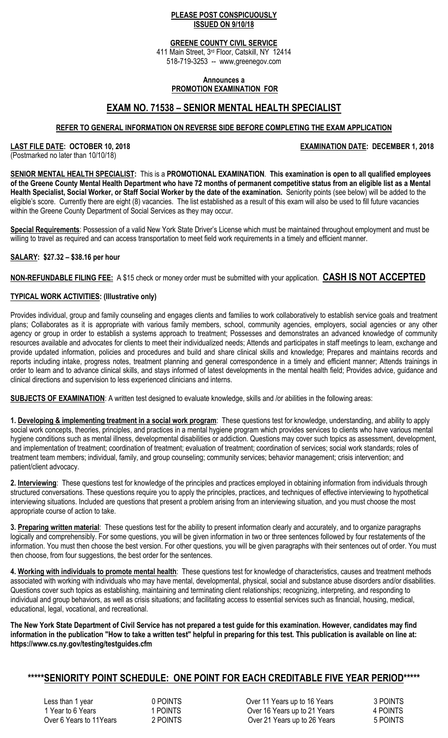### **PLEASE POST CONSPICUOUSLY ISSUED ON 9/10/18**

### **GREENE COUNTY CIVIL SERVICE**

411 Main Street, 3rd Floor, Catskill, NY 12414 518-719-3253 -- www,greenegov.com

#### **Announces a PROMOTION EXAMINATION FOR**

# **EXAM NO. 71538 – SENIOR MENTAL HEALTH SPECIALIST**

## **REFER TO GENERAL INFORMATION ON REVERSE SIDE BEFORE COMPLETING THE EXAM APPLICATION**

LAST FILE DATE: OCTOBER 10, 2018 **EXAMINATION DATE: DECEMBER 1, 2018** 

(Postmarked no later than 10/10/18)

**SENIOR MENTAL HEALTH SPECIALIST:** This is a **PROMOTIONAL EXAMINATION**. **This examination is open to all qualified employees of the Greene County Mental Health Department who have 72 months of permanent competitive status from an eligible list as a Mental Health Specialist, Social Worker, or Staff Social Worker by the date of the examination.** Seniority points (see below) will be added to the eligible's score. Currently there are eight (8) vacancies. The list established as a result of this exam will also be used to fill future vacancies within the Greene County Department of Social Services as they may occur.

**Special Requirements**: Possession of a valid New York State Driver's License which must be maintained throughout employment and must be willing to travel as required and can access transportation to meet field work requirements in a timely and efficient manner.

## **SALARY: \$27.32 – \$38.16 per hour**

**NON-REFUNDABLE FILING FEE:** A \$15 check or money order must be submitted with your application. **CASH IS NOT ACCEPTED** 

## **TYPICAL WORK ACTIVITIES: (Illustrative only)**

Provides individual, group and family counseling and engages clients and families to work collaboratively to establish service goals and treatment plans; Collaborates as it is appropriate with various family members, school, community agencies, employers, social agencies or any other agency or group in order to establish a systems approach to treatment; Possesses and demonstrates an advanced knowledge of community resources available and advocates for clients to meet their individualized needs; Attends and participates in staff meetings to learn, exchange and provide updated information, policies and procedures and build and share clinical skills and knowledge; Prepares and maintains records and reports including intake, progress notes, treatment planning and general correspondence in a timely and efficient manner; Attends trainings in order to learn and to advance clinical skills, and stays informed of latest developments in the mental health field; Provides advice, guidance and clinical directions and supervision to less experienced clinicians and interns.

**SUBJECTS OF EXAMINATION**: A written test designed to evaluate knowledge, skills and /or abilities in the following areas:

**1. Developing & implementing treatment in a social work program**: These questions test for knowledge, understanding, and ability to apply social work concepts, theories, principles, and practices in a mental hygiene program which provides services to clients who have various mental hygiene conditions such as mental illness, developmental disabilities or addiction. Questions may cover such topics as assessment, development, and implementation of treatment; coordination of treatment; evaluation of treatment; coordination of services; social work standards; roles of treatment team members; individual, family, and group counseling; community services; behavior management; crisis intervention; and patient/client advocacy.

**2. Interviewing**: These questions test for knowledge of the principles and practices employed in obtaining information from individuals through structured conversations. These questions require you to apply the principles, practices, and techniques of effective interviewing to hypothetical interviewing situations. Included are questions that present a problem arising from an interviewing situation, and you must choose the most appropriate course of action to take.

**3. Preparing written material**: These questions test for the ability to present information clearly and accurately, and to organize paragraphs logically and comprehensibly. For some questions, you will be given information in two or three sentences followed by four restatements of the information. You must then choose the best version. For other questions, you will be given paragraphs with their sentences out of order. You must then choose, from four suggestions, the best order for the sentences.

**4. Working with individuals to promote mental health**: These questions test for knowledge of characteristics, causes and treatment methods associated with working with individuals who may have mental, developmental, physical, social and substance abuse disorders and/or disabilities. Questions cover such topics as establishing, maintaining and terminating client relationships; recognizing, interpreting, and responding to individual and group behaviors, as well as crisis situations; and facilitating access to essential services such as financial, housing, medical, educational, legal, vocational, and recreational.

**The New York State Department of Civil Service has not prepared a test guide for this examination. However, candidates may find information in the publication "How to take a written test" helpful in preparing for this test. This publication is available on line at: https://www.cs.ny.gov/testing/testguides.cfm** 

## **\*\*\*\*\*SENIORITY POINT SCHEDULE: ONE POINT FOR EACH CREDITABLE FIVE YEAR PERIOD\*\*\*\*\***

Less than 1 year **12 COVERTS** 1 2 COVER 11 Years up to 16 Years 3 POINTS 1 Year to 6 Years 1 POINTS 1 Years up to 21 Years 1 A POINTS<br>
1 POINTS 1 Over 21 Years up to 26 Years 1 A POINTS Over 21 Years up to 26 Years